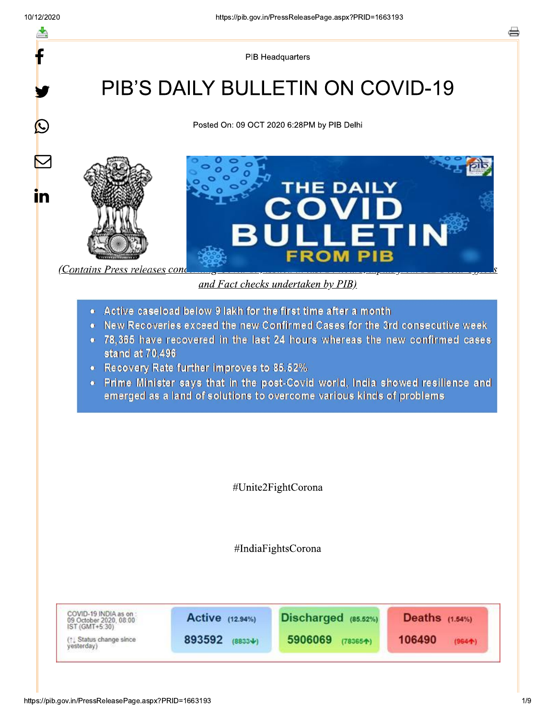$\bigcirc$ 

<u>in</u>

**PIB Headquarters** 

# **PIB'S DAILY BULLETIN ON COVID-19**

Posted On: 09 OCT 2020 6:28PM by PIB Delhi





and Fact checks undertaken by PIB)

- Active caseload below 9 lakh for the first time after a month
- New Recoveries exceed the new Confirmed Cases for the 3rd consecutive week
- 78.365 have recovered in the last 24 hours whereas the new confirmed cases stand at 70.496
- Recovery Rate further improves to 85.52%
- Prime Minister says that in the post-Covid world, India showed resilience and emerged as a land of solutions to overcome various kinds of problems

#Unite2FightCorona

#IndiaFightsCorona

COVID-19 INDIA as on:<br>09 October 2020, 08:00<br>IST (GMT+5:30) Active (12.94%) Discharged (85.52%) Deaths (1.54%) 893592 (88334) (1) Status change since 5906069 (783654) 106490  $(964 + )$ yesterday)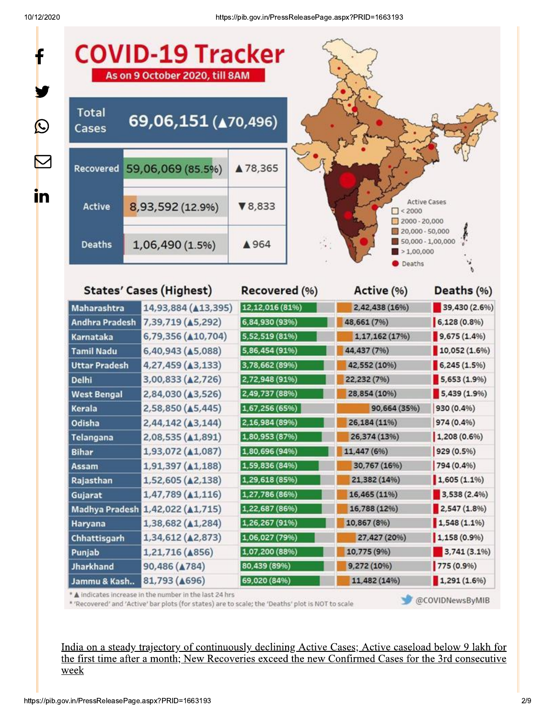

India on a steady trajectory of continuously declining Active Cases; Active caseload below 9 lakh for the first time after a month; New Recoveries exceed the new Confirmed Cases for the 3rd consecutive week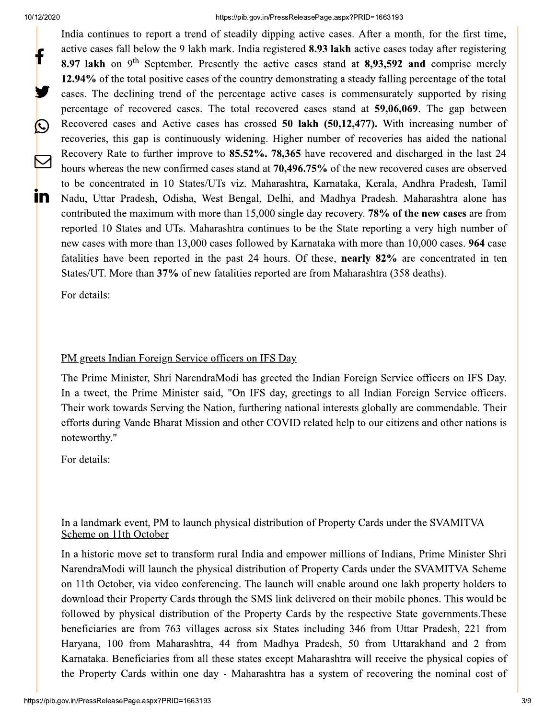$\bigcirc$ 

 $\blacktriangledown$ 

 $\mathbf{m}$ 

#### https://pib.gov.in/PressReleasePage.aspx?PRID=1663193

India continues to report a trend of steadily dipping active cases. After a month, for the first time, active cases fall below the 9 lakh mark. India registered 8.93 lakh active cases today after registering 8.97 lakh on  $9<sup>th</sup>$  September. Presently the active cases stand at 8,93,592 and comprise merely 12.94% of the total positive cases of the country demonstrating a steady falling percentage of the total cases. The declining trend of the percentage active cases is commensurately supported by rising percentage of recovered cases. The total recovered cases stand at 59,06,069. The gap between Recovered cases and Active cases has crossed 50 lakh (50,12,477). With increasing number of recoveries, this gap is continuously widening. Higher number of recoveries has aided the national Recovery Rate to further improve to 85.52%. 78,365 have recovered and discharged in the last 24 hours whereas the new confirmed cases stand at 70,496.75% of the new recovered cases are observed to be concentrated in 10 States/UTs viz. Maharashtra, Karnataka, Kerala, Andhra Pradesh, Tamil Nadu, Uttar Pradesh, Odisha, West Bengal, Delhi, and Madhya Pradesh. Maharashtra alone has contributed the maximum with more than 15,000 single day recovery. 78% of the new cases are from reported 10 States and UTs. Maharashtra continues to be the State reporting a very high number of new cases with more than 13,000 cases followed by Karnataka with more than 10,000 cases. 964 case fatalities have been reported in the past 24 hours. Of these, **nearly 82%** are concentrated in ten States/UT. More than 37% of new fatalities reported are from Maharashtra (358 deaths).

For details:

#### PM greets Indian Foreign Service officers on IFS Day

The Prime Minister, Shri NarendraModi has greeted the Indian Foreign Service officers on IFS Day. In a tweet, the Prime Minister said, "On IFS day, greetings to all Indian Foreign Service officers. Their work towards Serving the Nation, furthering national interests globally are commendable. Their efforts during Vande Bharat Mission and other COVID related help to our citizens and other nations is noteworthy."

For details:

#### In a landmark event, PM to launch physical distribution of Property Cards under the SVAMITVA Scheme on 11th October

In a historic move set to transform rural India and empower millions of Indians, Prime Minister Shri NarendraModi will launch the physical distribution of Property Cards under the SVAMITVA Scheme on 11th October, via video conferencing. The launch will enable around one lakh property holders to download their Property Cards through the SMS link delivered on their mobile phones. This would be followed by physical distribution of the Property Cards by the respective State governments. These beneficiaries are from 763 villages across six States including 346 from Uttar Pradesh, 221 from Haryana, 100 from Maharashtra, 44 from Madhya Pradesh, 50 from Uttarakhand and 2 from Karnataka. Beneficiaries from all these states except Maharashtra will receive the physical copies of the Property Cards within one day - Maharashtra has a system of recovering the nominal cost of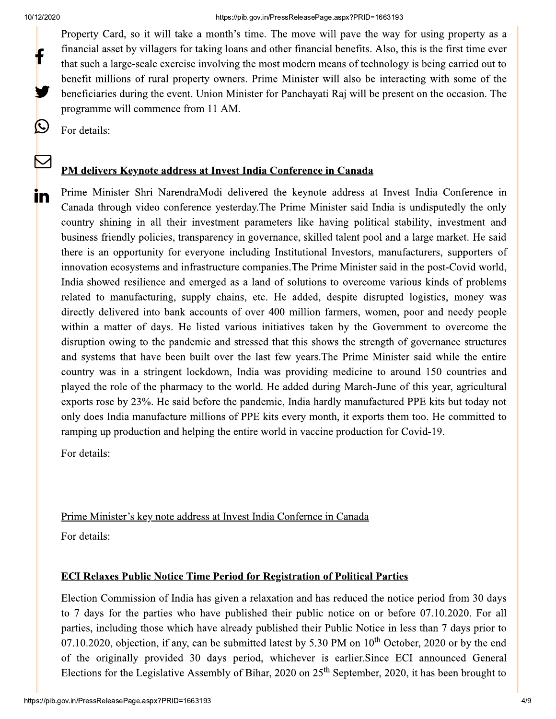$\bigcirc$ 

<u>in</u>

Property Card, so it will take a month's time. The move will pave the way for using property as a financial asset by villagers for taking loans and other financial benefits. Also, this is the first time ever that such a large-scale exercise involving the most modern means of technology is being carried out to benefit millions of rural property owners. Prime Minister will also be interacting with some of the beneficiaries during the event. Union Minister for Panchayati Raj will be present on the occasion. The programme will commence from 11 AM.

For details:

#### PM delivers Keynote address at Invest India Conference in Canada

Prime Minister Shri NarendraModi delivered the keynote address at Invest India Conference in Canada through video conference yesterday. The Prime Minister said India is undisputedly the only country shining in all their investment parameters like having political stability, investment and business friendly policies, transparency in governance, skilled talent pool and a large market. He said there is an opportunity for everyone including Institutional Investors, manufacturers, supporters of innovation ecosystems and infrastructure companies. The Prime Minister said in the post-Covid world, India showed resilience and emerged as a land of solutions to overcome various kinds of problems related to manufacturing, supply chains, etc. He added, despite disrupted logistics, money was directly delivered into bank accounts of over 400 million farmers, women, poor and needy people within a matter of days. He listed various initiatives taken by the Government to overcome the disruption owing to the pandemic and stressed that this shows the strength of governance structures and systems that have been built over the last few years. The Prime Minister said while the entire country was in a stringent lockdown, India was providing medicine to around 150 countries and played the role of the pharmacy to the world. He added during March-June of this year, agricultural exports rose by 23%. He said before the pandemic, India hardly manufactured PPE kits but today not only does India manufacture millions of PPE kits every month, it exports them too. He committed to ramping up production and helping the entire world in vaccine production for Covid-19.

For details:

Prime Minister's key note address at Invest India Confernce in Canada For details:

#### **ECI Relaxes Public Notice Time Period for Registration of Political Parties**

Election Commission of India has given a relaxation and has reduced the notice period from 30 days to 7 days for the parties who have published their public notice on or before 07.10.2020. For all parties, including those which have already published their Public Notice in less than 7 days prior to 07.10.2020, objection, if any, can be submitted latest by 5.30 PM on  $10^{th}$  October, 2020 or by the end of the originally provided 30 days period, whichever is earlier. Since ECI announced General Elections for the Legislative Assembly of Bihar, 2020 on  $25<sup>th</sup>$  September, 2020, it has been brought to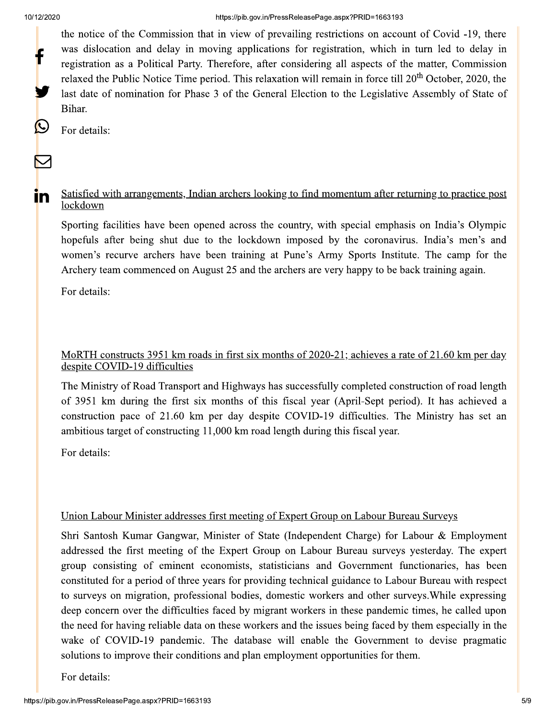$\mathbf C$ 

 $\sum$ 

<u>in</u>

the notice of the Commission that in view of prevailing restrictions on account of Covid -19, there was dislocation and delay in moving applications for registration, which in turn led to delay in registration as a Political Party. Therefore, after considering all aspects of the matter, Commission relaxed the Public Notice Time period. This relaxation will remain in force till 20<sup>th</sup> October, 2020, the last date of nomination for Phase 3 of the General Election to the Legislative Assembly of State of Bihar.

For details:

#### Satisfied with arrangements, Indian archers looking to find momentum after returning to practice post lockdown

Sporting facilities have been opened across the country, with special emphasis on India's Olympic hopefuls after being shut due to the lockdown imposed by the coronavirus. India's men's and women's recurve archers have been training at Pune's Army Sports Institute. The camp for the Archery team commenced on August 25 and the archers are very happy to be back training again.

For details:

#### MoRTH constructs 3951 km roads in first six months of 2020-21; achieves a rate of 21.60 km per day despite COVID-19 difficulties

The Ministry of Road Transport and Highways has successfully completed construction of road length of 3951 km during the first six months of this fiscal year (April-Sept period). It has achieved a construction pace of 21.60 km per day despite COVID-19 difficulties. The Ministry has set an ambitious target of constructing 11,000 km road length during this fiscal year.

For details:

### Union Labour Minister addresses first meeting of Expert Group on Labour Bureau Surveys

Shri Santosh Kumar Gangwar, Minister of State (Independent Charge) for Labour & Employment addressed the first meeting of the Expert Group on Labour Bureau surveys yesterday. The expert group consisting of eminent economists, statisticians and Government functionaries, has been constituted for a period of three years for providing technical guidance to Labour Bureau with respect to surveys on migration, professional bodies, domestic workers and other surveys. While expressing deep concern over the difficulties faced by migrant workers in these pandemic times, he called upon the need for having reliable data on these workers and the issues being faced by them especially in the wake of COVID-19 pandemic. The database will enable the Government to devise pragmatic solutions to improve their conditions and plan employment opportunities for them.

For details: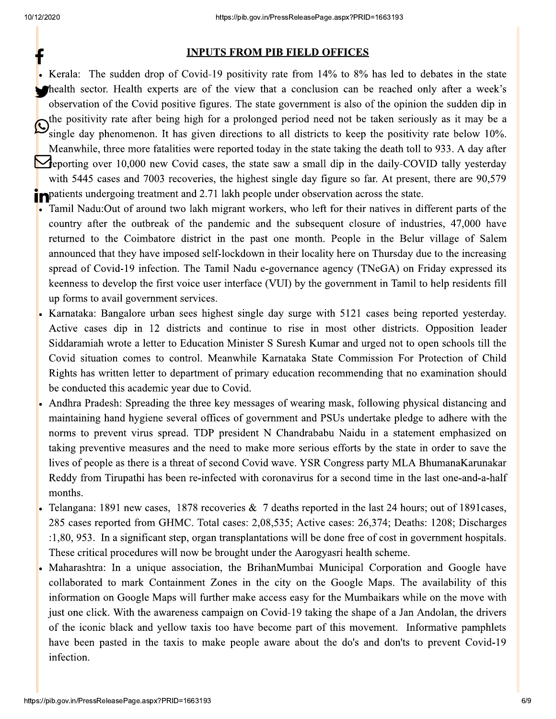https://pib.gov.in/PressReleasePage.aspx?PRID=<br> **INPUTS FROM PIB FIELD OFFICES**<br>
den drop of Covid-19 positivity rate from 14% to 8% l<br>
alth experts are of the view that a conclusion can be<br>
covid positive figures. The sta Kerala: The sudden drop of Covid-19 positivity rate from  $14\%$  to  $8\%$  has led to debates in the state the field the sector. Health experts are of the view that a conclusion can be reached only after a week's observation of the Covid positive figures. The state government is also of the opinion the sudden dip in the positivity rate after being high for a prolonged period need not be taken seriously as it may be a single day phenomenon. It has given directions to all districts to keep the positivity rate below 10%. Meanwhile, three more fatalities were reported today in the state taking the death toll to 933. A day after **1** eporting over 10,000 new Covid cases, the state saw a small dip in the daily-COVID tally yesterday with 5445 cases and 7003 recoveries, the highest single day figure so far. At present, there are  $90,579$  $\mathbf{r}$  . w

- **P** patients undergoing treatment and 2.71 lakh people under observation across the state.<br>A Tamil Nadu:Out of around two lakh migrant workers, who left for their natives in diff Tamil Nadu:Out of around two lakh migrant workers, who left for their natives in different parts of the country after the outbreak of the pandemic and the subsequent closure of industries, 47,000 have returned to the Coimbatore district in the past one month. People in the Belur village of Salem announced that they have imposed self-lockdown in their locality here on Thursday due to the increasing spread of Covid-19 infection. The Tamil Nadu e-governance agency (TNeGA) on Friday expressed its keenness to develop the first voice user interface (VUI) by the government in Tamil to help residents fill up forms to avail government services.
- Karnataka: Bangalore urban sees highest single day surge with 5121 cases being reported yesterday. Active cases dip in 12 districts and continue to rise in most other districts. Opposition leader Siddaramiah wrote a letter to Education Minister S Suresh Kumar and urged not to open schools till the Covid situation comes to control. Meanwhile Karnataka State Commission For Protection of Child Rights has written letter to department of primary education recommending that no examination should be conducted this academic year due to Covid.
- Andhra Pradesh: Spreading the three key messages of wearing mask, following physical distancing and maintaining hand hygiene several offices of government and PSUs undertake pledge to adhere with the norms to prevent virus spread. TDP president N Chandrababu Naidu in a statement emphasized on taking preventive measures and the need to make more serious efforts by the state in order to save the lives of people as there is a threat of second Covid wave. YSR Congress party MLA BhumanaKarunakar Reddy from Tirupathi has been re-infected with coronavirus for a second time in the last one-and-a-half months.
- Telangana: 1891 new cases, 1878 recoveries  $\&$  7 deaths reported in the last 24 hours; out of 1891 cases, 285 cases reported from GHMC. Total cases: 2,08,535; Active cases: 26,374; Deaths: 1208; Discharges  $1,80,953$ . In a significant step, organ transplantations will be done free of cost in government hospitals. These critical procedures will now be brought under the Aarogyasri health scheme.
- Maharashtra: In a unique association, the BrihanMumbai Municipal Corporation and Google have collaborated to mark Containment Zones in the city on the Google Maps. The availability of this information on Google Maps will further make access easy for the Mumbaikars while on the move with just one click. With the awareness campaign on Covid-19 taking the shape of a Jan Andolan, the drivers of the iconic black and yellow taxis too have become part of this movement. Informative pamphlets have been pasted in the taxis to make people aware about the do's and don'ts to prevent Covid-19 infection.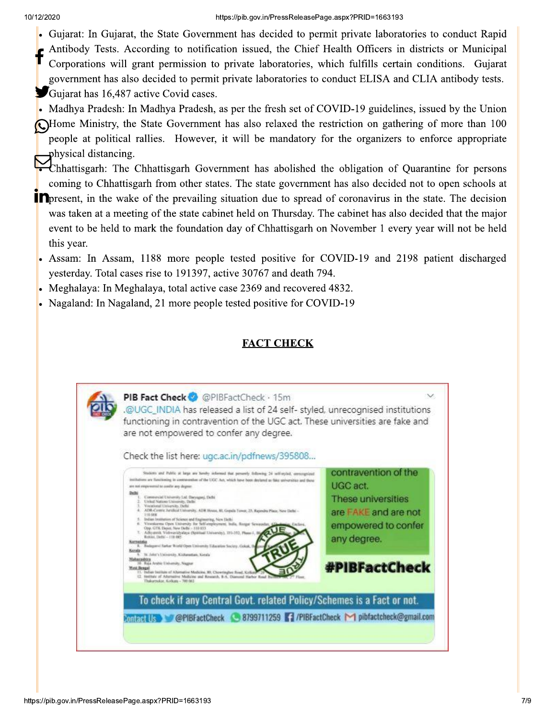- Gujarat: In Gujarat, the State Government has decided to permit private laboratories to conduct Rapid
- Antibody Tests. According to notification issued, the Chief Health Officers in districts or Municipal Corporations will grant permission to private laboratories, which fulfills certain conditions. Gujarat government has also decided to permit private laboratories to conduct ELISA and CLIA antibody tests. Gujarat has 16,487 active Covid cases.

Madhya Pradesh: In Madhya Pradesh, as per the fresh set of COVID-19 guidelines, issued by the Union

Home Ministry, the State Government has also relaxed the restriction on gathering of more than 100 people at political rallies. However, it will be mandatory for the organizers to enforce appropriate physical distancing.

Chhattisgarh: The Chhattisgarh Government has abolished the obligation of Quarantine for persons coming to Chhattisgarh from other states. The state government has also decided not to open schools at

- **In** present, in the wake of the prevailing situation due to spread of coronavirus in the state. The decision was taken at a meeting of the state cabinet held on Thursday. The cabinet has also decided that the major event to be held to mark the foundation day of Chhattisgarh on November 1 every year will not be held this year.
- Assam: In Assam, 1188 more people tested positive for COVID-19 and 2198 patient discharged yesterday. Total cases rise to 191397, active 30767 and death 794.
- Meghalaya: In Meghalaya, total active case 2369 and recovered 4832.
- Nagaland: In Nagaland, 21 more people tested positive for COVID-19

## **FACT CHECK**

| are not empowered to confer any degree.<br>Check the list here: ugc.ac.in/pdfnews/395808                                                                                                                                                                                                                                                                                                                                                                                                                                                                                                                                                                                                                                                                                                                                                                                                                                                                                                                                   |                                                                                                                                              |
|----------------------------------------------------------------------------------------------------------------------------------------------------------------------------------------------------------------------------------------------------------------------------------------------------------------------------------------------------------------------------------------------------------------------------------------------------------------------------------------------------------------------------------------------------------------------------------------------------------------------------------------------------------------------------------------------------------------------------------------------------------------------------------------------------------------------------------------------------------------------------------------------------------------------------------------------------------------------------------------------------------------------------|----------------------------------------------------------------------------------------------------------------------------------------------|
| Students and Public at large are bandle informed that persontly following 24 self-ersted, approximated<br>institutions are flaschooling in contraversities of the UGC Act, which have been declared as fake serversities and these<br>are not empowered to confer any degree:<br>Commercial University Ltd. Daryagani, Delhi<br>United Nations University, Delle:<br>Vocational University, Delhi<br>ADR-Centric Artifical University, ADR House, 83, Gopula Towar, 23, Raymans Place, New Delhi -<br>110,008<br>Indian Institution of Science and Engineering, New Hells).<br>6. Vitterskerms Open University for Self-employment, India, Rozgar Sewaush<br>Opp. GTK Dayot. New DeBi - 110 033<br>7. Adhoutesik Vishwaykhydaya (Spiritual University), 231-333. Please J.<br>Robins, Delta' - 110 085.<br><b>Karnataka</b><br>E. Badagarol Sarkar World Open University Education Society, Golask, B<br><b>Nazala</b><br>38. John's University, Kichenstum, Kerala<br><b>Barnshirn</b><br>6 Roja Arabic University, Nagna | contravention of the<br>UGC act.<br>These universities<br>are FAKE and are not<br>empowered to confer<br>any degree.<br><b>#PIBFactCheck</b> |
| Word Benga<br>11. Indian Intilluin of Alternative Medicine, 80, Chowrington Road, Kolkat<br>[2. Heilftals of Alternative Medicine and Research, B.A. Diamond Harbor Road B.<br>Thakurmokie: Kolkans - 700 063                                                                                                                                                                                                                                                                                                                                                                                                                                                                                                                                                                                                                                                                                                                                                                                                              |                                                                                                                                              |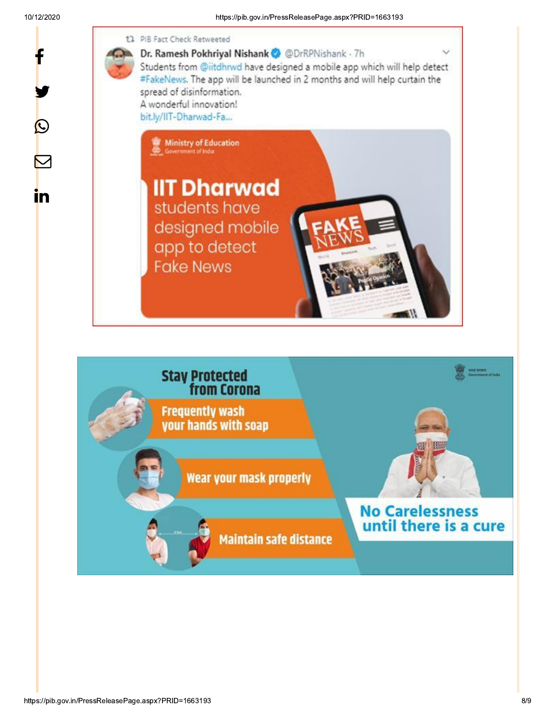